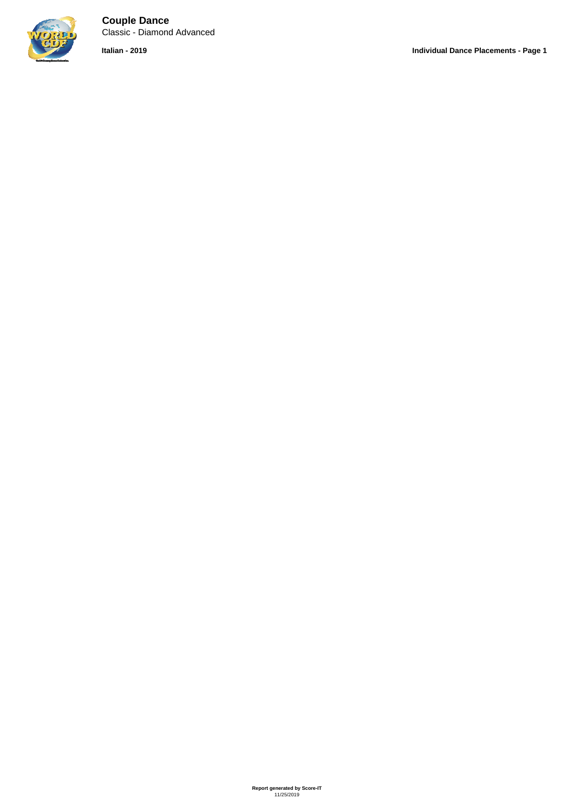

**Couple Dance** Classic - Diamond Advanced

**Italian - 2019 Individual Dance Placements - Page 1**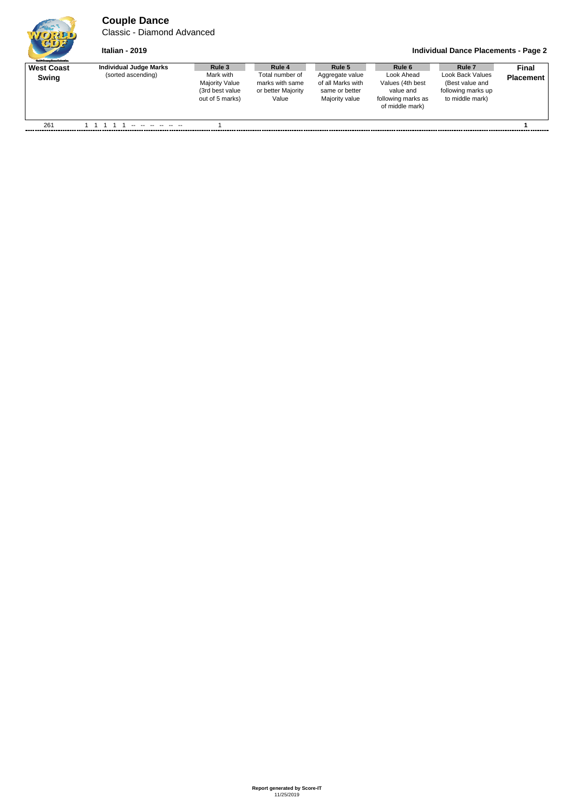## **Couple Dance**

Classic - Diamond Advanced



## **Italian - 2019 Individual Dance Placements - Page 2**

| <b>Guild Gauge Daves Polymbus</b> |                                              |                                                                                    |                                                                             |                                                                                    |                                                                                                |                                                                                                   |                           |
|-----------------------------------|----------------------------------------------|------------------------------------------------------------------------------------|-----------------------------------------------------------------------------|------------------------------------------------------------------------------------|------------------------------------------------------------------------------------------------|---------------------------------------------------------------------------------------------------|---------------------------|
| <b>West Coast</b><br>Swing        | Individual Judge Marks<br>(sorted ascending) | Rule 3<br>Mark with<br><b>Majority Value</b><br>(3rd best value<br>out of 5 marks) | Rule 4<br>Total number of<br>marks with same<br>or better Majority<br>Value | Rule 5<br>Aggregate value<br>of all Marks with<br>same or better<br>Majority value | Rule 6<br>Look Ahead<br>Values (4th best<br>value and<br>following marks as<br>of middle mark) | Rule <sub>7</sub><br>Look Back Values<br>(Best value and<br>following marks up<br>to middle mark) | Final<br><b>Placement</b> |
| 261                               |                                              |                                                                                    |                                                                             |                                                                                    |                                                                                                |                                                                                                   |                           |
|                                   |                                              |                                                                                    |                                                                             |                                                                                    |                                                                                                |                                                                                                   |                           |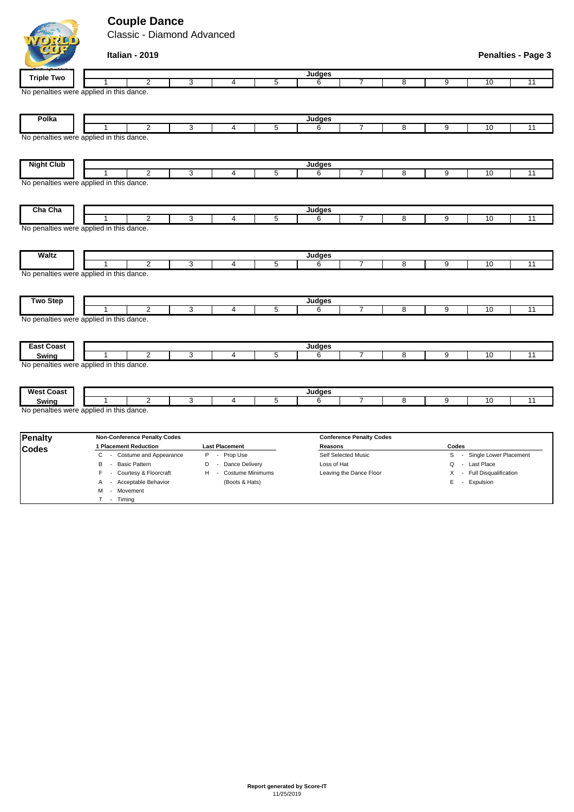## **Couple Dance**

WORD

M - Movement T - Timing

Classic - Diamond Advanced

| <b>CDI</b>                                                    |                       | Italian - 2019                      |              |                       |                |               |                                 |                |                |                          | <b>Penalties - Page 3</b> |
|---------------------------------------------------------------|-----------------------|-------------------------------------|--------------|-----------------------|----------------|---------------|---------------------------------|----------------|----------------|--------------------------|---------------------------|
| <b>Triple Two</b>                                             |                       |                                     |              |                       |                | Judges        |                                 |                |                |                          |                           |
|                                                               | 1                     | $\overline{2}$                      | 3            | 4                     | 5              | 6             | 7                               | $\overline{8}$ | 9              | 10                       | 11                        |
| No penalties were applied in this dance.                      |                       |                                     |              |                       |                |               |                                 |                |                |                          |                           |
| Polka                                                         |                       |                                     |              |                       |                | Judges        |                                 |                |                |                          |                           |
|                                                               |                       | $\overline{2}$                      | 3            | 4                     | 5              | 6             | $\overline{7}$                  | 8              | $\overline{9}$ | 10                       | 11                        |
| No penalties were applied in this dance.                      |                       |                                     |              |                       |                |               |                                 |                |                |                          |                           |
| <b>Night Club</b>                                             |                       |                                     |              |                       |                | <b>Judges</b> |                                 |                |                |                          |                           |
|                                                               | 1                     | $\overline{2}$                      | 3            | 4                     | 5              | 6             | $\overline{7}$                  | 8              | 9              | 10                       | 11                        |
| No penalties were applied in this dance.                      |                       |                                     |              |                       |                |               |                                 |                |                |                          |                           |
| Cha Cha                                                       |                       |                                     |              |                       |                | Judges        |                                 |                |                |                          |                           |
| No penalties were applied in this dance.                      | 1                     | $\overline{2}$                      | $\mathbf{3}$ | 4                     | 5              | 6             | $\overline{7}$                  | 8              | 9              | 10                       | 11                        |
| <b>Waltz</b><br>No penalties were applied in this dance.      | 1                     | $\overline{2}$                      | 3            | 4                     | $\overline{5}$ | Judges<br>6   | $\overline{7}$                  | 8              | 9              | 10                       | 11                        |
| <b>Two Step</b>                                               | 1                     | $\overline{2}$                      |              |                       |                | Judges        | 7                               |                |                |                          |                           |
|                                                               |                       |                                     | 3            | 4                     | 5              | 6             |                                 | 8              | 9              | 10                       | 11                        |
| No penalties were applied in this dance.<br><b>East Coast</b> |                       |                                     |              |                       |                |               |                                 |                |                |                          |                           |
|                                                               |                       | 2                                   | 3            | $\overline{4}$        | 5              | Judges<br>6   | 7                               | 8              | 9              | 10                       | 11                        |
| Swing<br>No penalties were applied in this dance.             |                       |                                     |              |                       |                |               |                                 |                |                |                          |                           |
| <b>West Coast</b>                                             |                       |                                     |              |                       |                | Judges        |                                 |                |                |                          |                           |
| Swing                                                         |                       | $\overline{2}$                      | 3            | 4                     | 5              | 6             | 7                               | 8              | 9              | 10                       | 11                        |
| No penalties were applied in this dance.                      |                       |                                     |              |                       |                |               |                                 |                |                |                          |                           |
| <b>Penalty</b>                                                |                       | <b>Non-Conference Penalty Codes</b> |              |                       |                |               | <b>Conference Penalty Codes</b> |                |                |                          |                           |
| <b>Codes</b>                                                  | 1 Placement Reduction |                                     |              | <b>Last Placement</b> |                | Reasons       |                                 |                | Codes          |                          |                           |
|                                                               | C                     | - Costume and Appearance            |              | P - Prop Use          |                |               | Self Selected Music             |                | S              | - Single Lower Placement |                           |

B - Basic Pattern **D** - Dance Delivery Loss of Hat **Loss of Hat Q - Last Place** F - Courtesy & Floorcraft H - Costume Minimums Leaving the Dance Floor X - Full Disqualification A - Acceptable Behavior (Boots & Hats) E - Expulsion